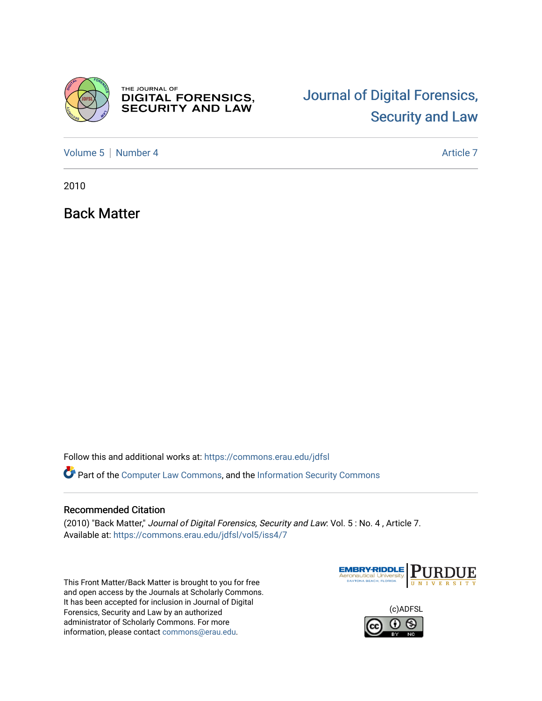

THE JOURNAL OF **DIGITAL FORENSICS,<br>SECURITY AND LAW** 

# [Journal of Digital Forensics,](https://commons.erau.edu/jdfsl)  [Security and Law](https://commons.erau.edu/jdfsl)

[Volume 5](https://commons.erau.edu/jdfsl/vol5) | [Number 4](https://commons.erau.edu/jdfsl/vol5/iss4) Article 7

2010

Back Matter

Follow this and additional works at: [https://commons.erau.edu/jdfsl](https://commons.erau.edu/jdfsl?utm_source=commons.erau.edu%2Fjdfsl%2Fvol5%2Fiss4%2F7&utm_medium=PDF&utm_campaign=PDFCoverPages)

Part of the [Computer Law Commons,](http://network.bepress.com/hgg/discipline/837?utm_source=commons.erau.edu%2Fjdfsl%2Fvol5%2Fiss4%2F7&utm_medium=PDF&utm_campaign=PDFCoverPages) and the [Information Security Commons](http://network.bepress.com/hgg/discipline/1247?utm_source=commons.erau.edu%2Fjdfsl%2Fvol5%2Fiss4%2F7&utm_medium=PDF&utm_campaign=PDFCoverPages) 

#### Recommended Citation

(2010) "Back Matter," Journal of Digital Forensics, Security and Law: Vol. 5 : No. 4 , Article 7. Available at: [https://commons.erau.edu/jdfsl/vol5/iss4/7](https://commons.erau.edu/jdfsl/vol5/iss4/7?utm_source=commons.erau.edu%2Fjdfsl%2Fvol5%2Fiss4%2F7&utm_medium=PDF&utm_campaign=PDFCoverPages) 

This Front Matter/Back Matter is brought to you for free and open access by the Journals at Scholarly Commons. It has been accepted for inclusion in Journal of Digital Forensics, Security and Law by an authorized administrator of Scholarly Commons. For more information, please contact [commons@erau.edu.](mailto:commons@erau.edu)



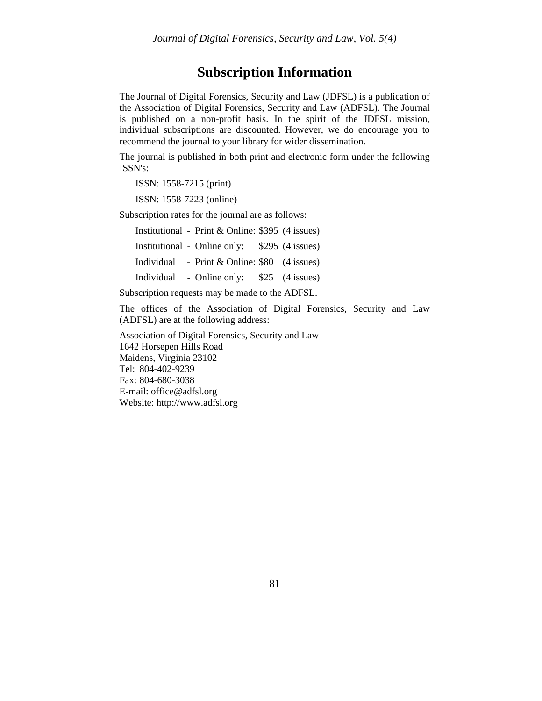### **Subscription Information**

The Journal of Digital Forensics, Security and Law (JDFSL) is a publication of the Association of Digital Forensics, Security and Law (ADFSL). The Journal is published on a non-profit basis. In the spirit of the JDFSL mission, individual subscriptions are discounted. However, we do encourage you to recommend the journal to your library for wider dissemination.

The journal is published in both print and electronic form under the following ISSN's:

ISSN: 1558-7215 (print)

ISSN: 1558-7223 (online)

Subscription rates for the journal are as follows:

Institutional - Print & Online: \$395 (4 issues) Institutional - Online only: \$295 (4 issues) Individual - Print & Online: \$80 (4 issues) Individual - Online only: \$25 (4 issues)

Subscription requests may be made to the ADFSL.

The offices of the Association of Digital Forensics, Security and Law (ADFSL) are at the following address:

Association of Digital Forensics, Security and Law 1642 Horsepen Hills Road Maidens, Virginia 23102 Tel: 804-402-9239 Fax: 804-680-3038 E-mail: office@adfsl.org Website: http://www.adfsl.org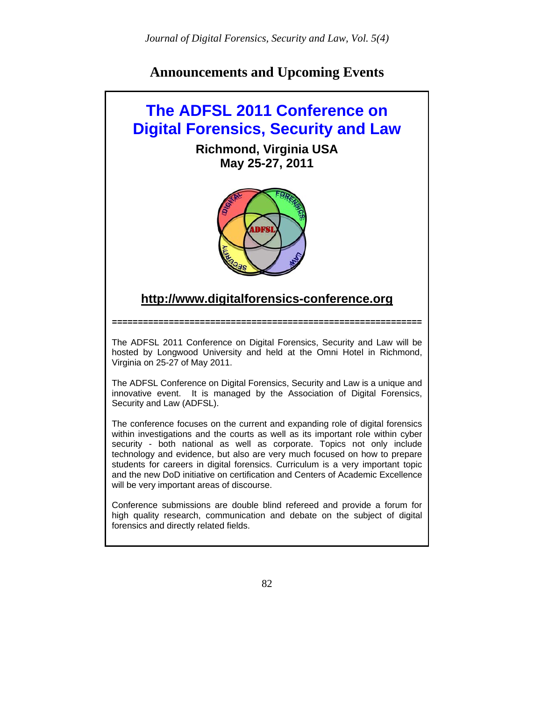## **Announcements and Upcoming Events**

## **The ADFSL 2011 Conference on Digital Forensics, Security and Law**

**Richmond, Virginia USA May 25-27, 2011** 



## **http://www.digitalforensics-conference.org**

**============================================================** 

The ADFSL 2011 Conference on Digital Forensics, Security and Law will be hosted by Longwood University and held at the Omni Hotel in Richmond, Virginia on 25-27 of May 2011.

The ADFSL Conference on Digital Forensics, Security and Law is a unique and innovative event. It is managed by the Association of Digital Forensics, Security and Law (ADFSL).

The conference focuses on the current and expanding role of digital forensics within investigations and the courts as well as its important role within cyber security - both national as well as corporate. Topics not only include technology and evidence, but also are very much focused on how to prepare students for careers in digital forensics. Curriculum is a very important topic and the new DoD initiative on certification and Centers of Academic Excellence will be very important areas of discourse.

Conference submissions are double blind refereed and provide a forum for high quality research, communication and debate on the subject of digital forensics and directly related fields.